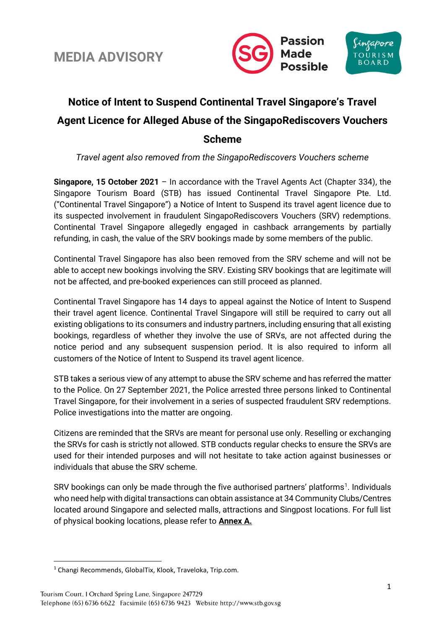

### **Notice of Intent to Suspend Continental Travel Singapore's Travel Agent Licence for Alleged Abuse of the SingapoRediscovers Vouchers Scheme**

*Travel agent also removed from the SingapoRediscovers Vouchers scheme*

**Singapore, 15 October 2021** – In accordance with the Travel Agents Act (Chapter 334), the Singapore Tourism Board (STB) has issued Continental Travel Singapore Pte. Ltd. ("Continental Travel Singapore") a Notice of Intent to Suspend its travel agent licence due to its suspected involvement in fraudulent SingapoRediscovers Vouchers (SRV) redemptions. Continental Travel Singapore allegedly engaged in cashback arrangements by partially refunding, in cash, the value of the SRV bookings made by some members of the public.

Continental Travel Singapore has also been removed from the SRV scheme and will not be able to accept new bookings involving the SRV. Existing SRV bookings that are legitimate will not be affected, and pre-booked experiences can still proceed as planned.

Continental Travel Singapore has 14 days to appeal against the Notice of Intent to Suspend their travel agent licence. Continental Travel Singapore will still be required to carry out all existing obligations to its consumers and industry partners, including ensuring that all existing bookings, regardless of whether they involve the use of SRVs, are not affected during the notice period and any subsequent suspension period. It is also required to inform all customers of the Notice of Intent to Suspend its travel agent licence.

STB takes a serious view of any attempt to abuse the SRV scheme and has referred the matter to the Police. On 27 September 2021, the Police arrested three persons linked to Continental Travel Singapore, for their involvement in a series of suspected fraudulent SRV redemptions. Police investigations into the matter are ongoing.

Citizens are reminded that the SRVs are meant for personal use only. Reselling or exchanging the SRVs for cash is strictly not allowed. STB conducts regular checks to ensure the SRVs are used for their intended purposes and will not hesitate to take action against businesses or individuals that abuse the SRV scheme.

SRV bookings can only be made through the five authorised partners' platforms<sup>1</sup>. Individuals who need help with digital transactions can obtain assistance at 34 Community Clubs/Centres located around Singapore and selected malls, attractions and Singpost locations. For full list of physical booking locations, please refer to **Annex A.**

<sup>1</sup> Changi Recommends, GlobalTix, Klook, Traveloka, Trip.com.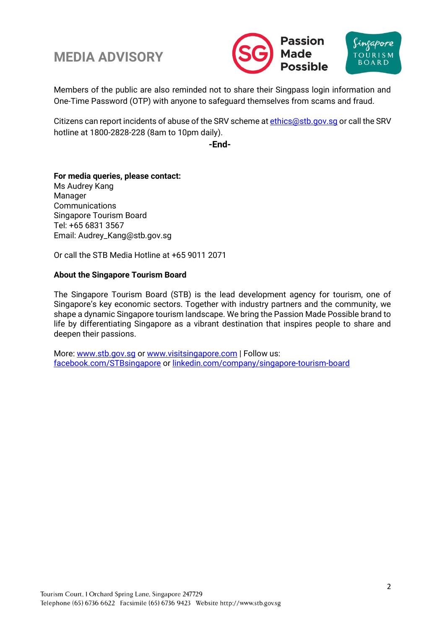



Members of the public are also reminded not to share their Singpass login information and One-Time Password (OTP) with anyone to safeguard themselves from scams and fraud.

Citizens can report incidents of abuse of the SRV scheme at ethics@stb.gov.sq or call the SRV hotline at 1800-2828-228 (8am to 10pm daily).

**-End-**

### **For media queries, please contact:**

Ms Audrey Kang Manager **Communications** Singapore Tourism Board Tel: +65 6831 3567 Email: Audrey\_Kang@stb.gov.sg

Or call the STB Media Hotline at +65 9011 2071

#### **About the Singapore Tourism Board**

The Singapore Tourism Board (STB) is the lead development agency for tourism, one of Singapore's key economic sectors. Together with industry partners and the community, we shape a dynamic Singapore tourism landscape. We bring the Passion Made Possible brand to life by differentiating Singapore as a vibrant destination that inspires people to share and deepen their passions.

More: [www.stb.gov.sg](http://www.stb.gov.sg/) or [www.visitsingapore.com](http://www.visitsingapore.com/) | Follow us: [facebook.com/STBsingapore](http://facebook.com/STBsingapore) o[r linkedin.com/company/singapore-tourism-board](https://www.linkedin.com/company/singapore-tourism-board)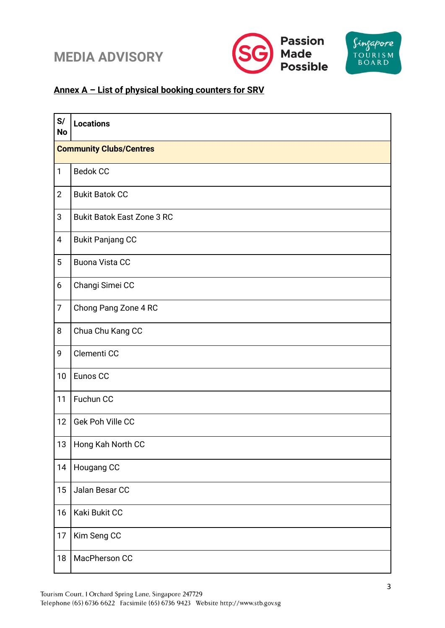





### **Annex A – List of physical booking counters for SRV**

| S/<br><b>No</b> | <b>Locations</b>                  |  |  |
|-----------------|-----------------------------------|--|--|
|                 | <b>Community Clubs/Centres</b>    |  |  |
| 1               | <b>Bedok CC</b>                   |  |  |
| $\overline{2}$  | <b>Bukit Batok CC</b>             |  |  |
| 3               | <b>Bukit Batok East Zone 3 RC</b> |  |  |
| $\overline{4}$  | <b>Bukit Panjang CC</b>           |  |  |
| 5               | <b>Buona Vista CC</b>             |  |  |
| 6               | Changi Simei CC                   |  |  |
| $\overline{7}$  | Chong Pang Zone 4 RC              |  |  |
| 8               | Chua Chu Kang CC                  |  |  |
| 9               | Clementi CC                       |  |  |
| 10              | Eunos CC                          |  |  |
| 11              | Fuchun CC                         |  |  |
| 12              | Gek Poh Ville CC                  |  |  |
| 13              | Hong Kah North CC                 |  |  |
| 14              | Hougang CC                        |  |  |
| 15              | Jalan Besar CC                    |  |  |
| 16              | Kaki Bukit CC                     |  |  |
| 17              | Kim Seng CC                       |  |  |
| 18              | MacPherson CC                     |  |  |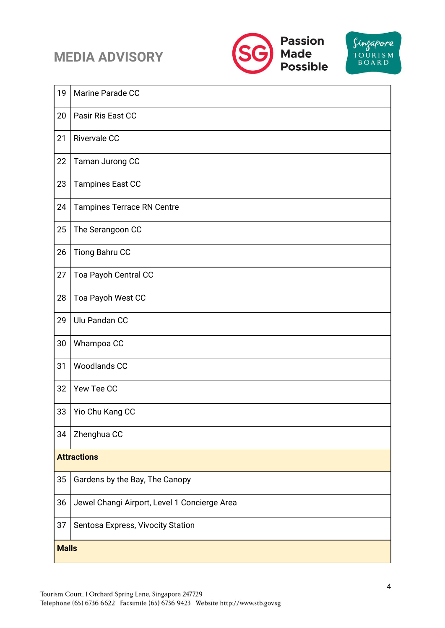



| 19                 | Marine Parade CC                             |  |
|--------------------|----------------------------------------------|--|
| 20                 | Pasir Ris East CC                            |  |
| 21                 | <b>Rivervale CC</b>                          |  |
| 22                 | Taman Jurong CC                              |  |
| 23                 | <b>Tampines East CC</b>                      |  |
| 24                 | <b>Tampines Terrace RN Centre</b>            |  |
| 25                 | The Serangoon CC                             |  |
| 26                 | Tiong Bahru CC                               |  |
| 27                 | Toa Payoh Central CC                         |  |
| 28                 | Toa Payoh West CC                            |  |
| 29                 | Ulu Pandan CC                                |  |
| 30                 | Whampoa CC                                   |  |
| 31                 | <b>Woodlands CC</b>                          |  |
| 32                 | Yew Tee CC                                   |  |
| 33                 | Yio Chu Kang CC                              |  |
| 34                 | Zhenghua CC                                  |  |
| <b>Attractions</b> |                                              |  |
| 35                 | Gardens by the Bay, The Canopy               |  |
| 36                 | Jewel Changi Airport, Level 1 Concierge Area |  |
| 37                 | Sentosa Express, Vivocity Station            |  |
| <b>Malls</b>       |                                              |  |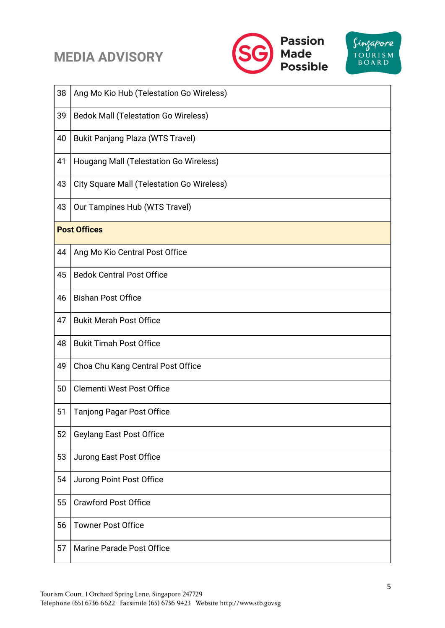



| 38                  | Ang Mo Kio Hub (Telestation Go Wireless)          |  |
|---------------------|---------------------------------------------------|--|
| 39                  | <b>Bedok Mall (Telestation Go Wireless)</b>       |  |
| 40                  | <b>Bukit Panjang Plaza (WTS Travel)</b>           |  |
| 41                  | Hougang Mall (Telestation Go Wireless)            |  |
| 43                  | <b>City Square Mall (Telestation Go Wireless)</b> |  |
| 43                  | Our Tampines Hub (WTS Travel)                     |  |
| <b>Post Offices</b> |                                                   |  |
| 44                  | Ang Mo Kio Central Post Office                    |  |
| 45                  | <b>Bedok Central Post Office</b>                  |  |
| 46                  | <b>Bishan Post Office</b>                         |  |
| 47                  | <b>Bukit Merah Post Office</b>                    |  |
| 48                  | <b>Bukit Timah Post Office</b>                    |  |
| 49                  | Choa Chu Kang Central Post Office                 |  |
| 50                  | Clementi West Post Office                         |  |
| 51                  | <b>Tanjong Pagar Post Office</b>                  |  |
| 52                  | <b>Geylang East Post Office</b>                   |  |
| 53                  | Jurong East Post Office                           |  |
| 54                  | Jurong Point Post Office                          |  |
| 55                  | <b>Crawford Post Office</b>                       |  |
| 56                  | <b>Towner Post Office</b>                         |  |
| 57                  | <b>Marine Parade Post Office</b>                  |  |